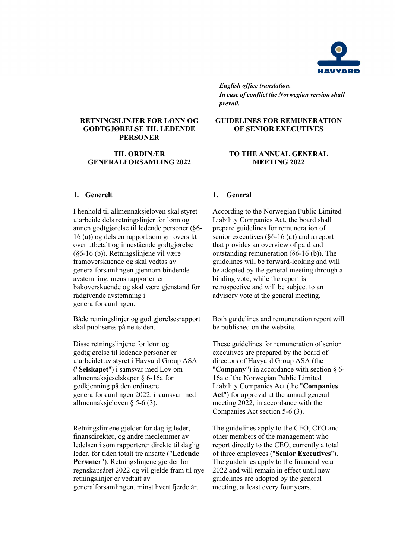

*English office translation. In case of conflict the Norwegian version shall prevail.*

**GUIDELINES FOR REMUNERATION OF SENIOR EXECUTIVES**

#### **RETNINGSLINJER FOR LØNN OG GODTGJØRELSE TIL LEDENDE PERSONER**

#### **TIL ORDINÆR GENERALFORSAMLING 2022**

#### **1. Generelt**

I henhold til allmennaksjeloven skal styret utarbeide dels retningslinjer for lønn og annen godtgjørelse til ledende personer (§6- 16 (a)) og dels en rapport som gir oversikt over utbetalt og innestående godtgjørelse (§6-16 (b)). Retningslinjene vil være framoverskuende og skal vedtas av generalforsamlingen gjennom bindende avstemning, mens rapporten er bakoverskuende og skal være gjenstand for rådgivende avstemning i generalforsamlingen.

Både retningslinjer og godtgjørelsesrapport skal publiseres på nettsiden.

Disse retningslinjene for lønn og godtgjørelse til ledende personer er utarbeidet av styret i Havyard Group ASA ("**Selskapet**") i samsvar med Lov om allmennaksjeselskaper § 6-16a for godkjenning på den ordinære generalforsamlingen 2022, i samsvar med allmennaksjeloven § 5-6 (3).

Retningslinjene gjelder for daglig leder, finansdirektør, og andre medlemmer av ledelsen i som rapporterer direkte til daglig leder, for tiden totalt tre ansatte ("**Ledende Personer**"). Retningslinjene gjelder for regnskapsåret 2022 og vil gjelde fram til nye retningslinjer er vedtatt av generalforsamlingen, minst hvert fjerde år.

# **TO THE ANNUAL GENERAL**

#### **MEETING 2022**

#### **1. General**

According to the Norwegian Public Limited Liability Companies Act, the board shall prepare guidelines for remuneration of senior executives (§6-16 (a)) and a report that provides an overview of paid and outstanding remuneration (§6-16 (b)). The guidelines will be forward-looking and will be adopted by the general meeting through a binding vote, while the report is retrospective and will be subject to an advisory vote at the general meeting.

Both guidelines and remuneration report will be published on the website.

These guidelines for remuneration of senior executives are prepared by the board of directors of Havyard Group ASA (the "**Company**") in accordance with section § 6- 16a of the Norwegian Public Limited Liability Companies Act (the "**Companies Act**") for approval at the annual general meeting 2022, in accordance with the Companies Act section 5-6 (3).

The guidelines apply to the CEO, CFO and other members of the management who report directly to the CEO, currently a total of three employees ("**Senior Executives**"). The guidelines apply to the financial year 2022 and will remain in effect until new guidelines are adopted by the general meeting, at least every four years.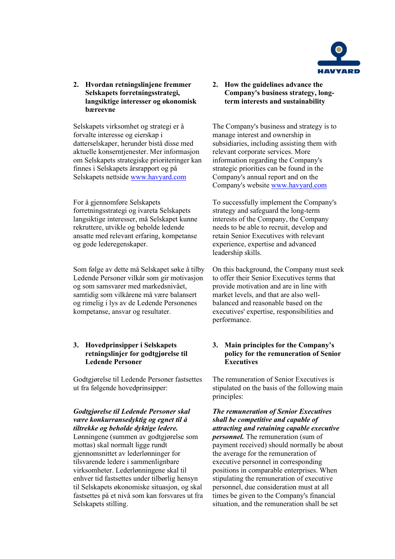

## **2. Hvordan retningslinjene fremmer Selskapets forretningsstrategi, langsiktige interesser og økonomisk bæreevne**

Selskapets virksomhet og strategi er å forvalte interesse og eierskap i datterselskaper, herunder bistå disse med aktuelle konserntjenester. Mer informasjon om Selskapets strategiske prioriteringer kan finnes i Selskapets årsrapport og på Selskapets nettside [www.havyard.com](http://www.havyard.com/)

For å gjennomføre Selskapets forretningsstrategi og ivareta Selskapets langsiktige interesser, må Selskapet kunne rekruttere, utvikle og beholde ledende ansatte med relevant erfaring, kompetanse og gode lederegenskaper.

Som følge av dette må Selskapet søke å tilby Ledende Personer vilkår som gir motivasjon og som samsvarer med markedsnivået, samtidig som vilkårene må være balansert og rimelig i lys av de Ledende Personenes kompetanse, ansvar og resultater.

## **3. Hovedprinsipper i Selskapets retningslinjer for godtgjørelse til Ledende Personer**

Godtgjørelse til Ledende Personer fastsettes ut fra følgende hovedprinsipper:

## *Godtgjørelse til Ledende Personer skal være konkurransedyktig og egnet til å tiltrekke og beholde dyktige ledere.*

Lønningene (summen av godtgjørelse som mottas) skal normalt ligge rundt gjennomsnittet av lederlønninger for tilsvarende ledere i sammenlignbare virksomheter. Lederlønningene skal til enhver tid fastsettes under tilbørlig hensyn til Selskapets økonomiske situasjon, og skal fastsettes på et nivå som kan forsvares ut fra Selskapets stilling.

**2. How the guidelines advance the Company's business strategy, longterm interests and sustainability**

The Company's business and strategy is to manage interest and ownership in subsidiaries, including assisting them with relevant corporate services. More information regarding the Company's strategic priorities can be found in the Company's annual report and on the Company's website [www.havyard.com](http://www.havyard.com/) 

To successfully implement the Company's strategy and safeguard the long-term interests of the Company, the Company needs to be able to recruit, develop and retain Senior Executives with relevant experience, expertise and advanced leadership skills.

On this background, the Company must seek to offer their Senior Executives terms that provide motivation and are in line with market levels, and that are also wellbalanced and reasonable based on the executives' expertise, responsibilities and performance.

## **3. Main principles for the Company's policy for the remuneration of Senior Executives**

The remuneration of Senior Executives is stipulated on the basis of the following main principles:

*The remuneration of Senior Executives shall be competitive and capable of attracting and retaining capable executive personnel.* The remuneration (sum of payment received) should normally be about the average for the remuneration of executive personnel in corresponding positions in comparable enterprises. When stipulating the remuneration of executive personnel, due consideration must at all times be given to the Company's financial situation, and the remuneration shall be set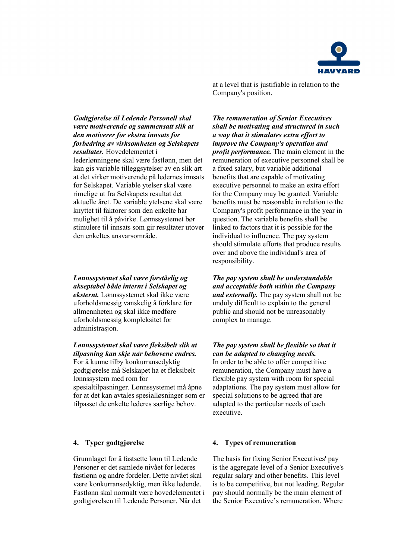

at a level that is justifiable in relation to the Company's position.

#### *Godtgjørelse til Ledende Personell skal være motiverende og sammensatt slik at den motiverer for ekstra innsats for forbedring av virksomheten og Selskapets resultater.* Hovedelementet i

lederlønningene skal være fastlønn, men det kan gis variable tilleggsytelser av en slik art at det virker motiverende på ledernes innsats for Selskapet. Variable ytelser skal være rimelige ut fra Selskapets resultat det aktuelle året. De variable ytelsene skal være knyttet til faktorer som den enkelte har mulighet til å påvirke. Lønnssystemet bør stimulere til innsats som gir resultater utover den enkeltes ansvarsområde.

*Lønnssystemet skal være forståelig og akseptabel både internt i Selskapet og eksternt.* Lønnssystemet skal ikke være uforholdsmessig vanskelig å forklare for allmennheten og skal ikke medføre uforholdsmessig kompleksitet for administrasjon.

## *Lønnssystemet skal være fleksibelt slik at tilpasning kan skje når behovene endres.*

For å kunne tilby konkurransedyktig godtgjørelse må Selskapet ha et fleksibelt lønnssystem med rom for spesialtilpasninger. Lønnssystemet må åpne for at det kan avtales spesialløsninger som er tilpasset de enkelte lederes særlige behov.

Grunnlaget for å fastsette lønn til Ledende Personer er det samlede nivået for lederes fastlønn og andre fordeler. Dette nivået skal være konkurransedyktig, men ikke ledende. Fastlønn skal normalt være hovedelementet i godtgjørelsen til Ledende Personer. Når det

*The remuneration of Senior Executives shall be motivating and structured in such a way that it stimulates extra effort to improve the Company's operation and profit performance.* The main element in the remuneration of executive personnel shall be a fixed salary, but variable additional benefits that are capable of motivating executive personnel to make an extra effort for the Company may be granted. Variable benefits must be reasonable in relation to the Company's profit performance in the year in question. The variable benefits shall be linked to factors that it is possible for the individual to influence. The pay system should stimulate efforts that produce results over and above the individual's area of responsibility.

*The pay system shall be understandable and acceptable both within the Company and externally.* The pay system shall not be unduly difficult to explain to the general public and should not be unreasonably complex to manage.

#### *The pay system shall be flexible so that it can be adapted to changing needs.*

In order to be able to offer competitive remuneration, the Company must have a flexible pay system with room for special adaptations. The pay system must allow for special solutions to be agreed that are adapted to the particular needs of each executive.

#### **4. Typer godtgjørelse 4. Types of remuneration**

The basis for fixing Senior Executives' pay is the aggregate level of a Senior Executive's regular salary and other benefits. This level is to be competitive, but not leading. Regular pay should normally be the main element of the Senior Executive's remuneration. Where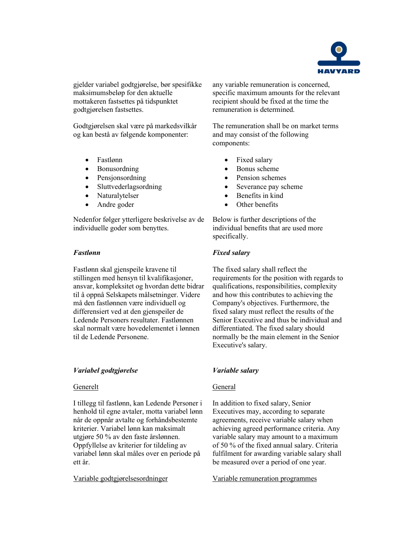

gjelder variabel godtgjørelse, bør spesifikke maksimumsbeløp for den aktuelle mottakeren fastsettes på tidspunktet godtgjørelsen fastsettes.

Godtgjørelsen skal være på markedsvilkår og kan bestå av følgende komponenter:

- Fastlønn
- Bonusordning
- Pensionsordning
- Sluttvederlagsordning
- Naturalytelser
- Andre goder

Nedenfor følger ytterligere beskrivelse av de individuelle goder som benyttes.

## *Fastlønn*

Fastlønn skal gjenspeile kravene til stillingen med hensyn til kvalifikasjoner, ansvar, kompleksitet og hvordan dette bidrar til å oppnå Selskapets målsetninger. Videre må den fastlønnen være individuell og differensiert ved at den gjenspeiler de Ledende Personers resultater. Fastlønnen skal normalt være hovedelementet i lønnen til de Ledende Personene.

## *Variabel godtgjørelse*

## Generelt

I tillegg til fastlønn, kan Ledende Personer i henhold til egne avtaler, motta variabel lønn når de oppnår avtalte og forhåndsbestemte kriterier. Variabel lønn kan maksimalt utgjøre 50 % av den faste årslønnen. Oppfyllelse av kriterier for tildeling av variabel lønn skal måles over en periode på ett år.

any variable remuneration is concerned, specific maximum amounts for the relevant recipient should be fixed at the time the remuneration is determined.

The remuneration shall be on market terms and may consist of the following components:

- Fixed salary
- Bonus scheme
- Pension schemes
- Severance pay scheme
- Benefits in kind
- Other benefits

Below is further descriptions of the individual benefits that are used more specifically.

## *Fixed salary*

The fixed salary shall reflect the requirements for the position with regards to qualifications, responsibilities, complexity and how this contributes to achieving the Company's objectives. Furthermore, the fixed salary must reflect the results of the Senior Executive and thus be individual and differentiated. The fixed salary should normally be the main element in the Senior Executive's salary.

## *Variable salary*

## General

In addition to fixed salary, Senior Executives may, according to separate agreements, receive variable salary when achieving agreed performance criteria. Any variable salary may amount to a maximum of 50 % of the fixed annual salary. Criteria fulfilment for awarding variable salary shall be measured over a period of one year.

Variable godtgjørelsesordninger Variable remuneration programmes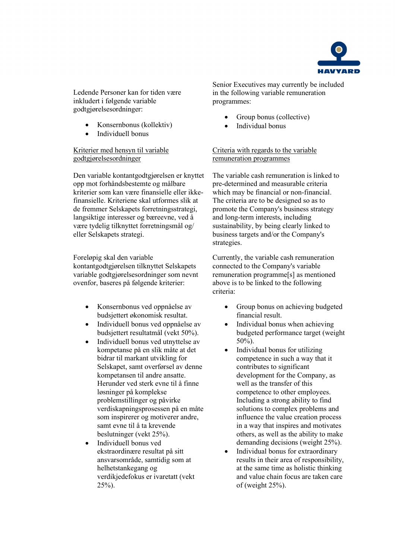

Ledende Personer kan for tiden være inkludert i følgende variable godtgjørelsesordninger:

- Konsernbonus (kollektiv)
- Individuell bonus

## Kriterier med hensyn til variable godtgjørelsesordninger

Den variable kontantgodtgjørelsen er knyttet opp mot forhåndsbestemte og målbare kriterier som kan være finansielle eller ikkefinansielle. Kriteriene skal utformes slik at de fremmer Selskapets forretningsstrategi, langsiktige interesser og bæreevne, ved å være tydelig tilknyttet forretningsmål og/ eller Selskapets strategi.

Foreløpig skal den variable kontantgodtgjørelsen tilknyttet Selskapets variable godtgjørelsesordninger som nevnt ovenfor, baseres på følgende kriterier:

- Konsernbonus ved oppnåelse av budsjettert økonomisk resultat.
- Individuell bonus ved oppnåelse av budsjettert resultatmål (vekt 50%).
- Individuell bonus ved utnyttelse av kompetanse på en slik måte at det bidrar til markant utvikling for Selskapet, samt overførsel av denne kompetansen til andre ansatte. Herunder ved sterk evne til å finne løsninger på komplekse problemstillinger og påvirke verdiskapningsprosessen på en måte som inspirerer og motiverer andre, samt evne til å ta krevende beslutninger (vekt 25%).
- Individuell bonus ved ekstraordinære resultat på sitt ansvarsområde, samtidig som at helhetstankegang og verdikjedefokus er ivaretatt (vekt  $25\%)$ .

Senior Executives may currently be included in the following variable remuneration programmes:

- Group bonus (collective)
- Individual bonus

Criteria with regards to the variable remuneration programmes

The variable cash remuneration is linked to pre-determined and measurable criteria which may be financial or non-financial. The criteria are to be designed so as to promote the Company's business strategy and long-term interests, including sustainability, by being clearly linked to business targets and/or the Company's strategies.

Currently, the variable cash remuneration connected to the Company's variable remuneration programme[s] as mentioned above is to be linked to the following criteria:

- Group bonus on achieving budgeted financial result.
- Individual bonus when achieving budgeted performance target (weight 50%).
- Individual bonus for utilizing competence in such a way that it contributes to significant development for the Company, as well as the transfer of this competence to other employees. Including a strong ability to find solutions to complex problems and influence the value creation process in a way that inspires and motivates others, as well as the ability to make demanding decisions (weight 25%).
- Individual bonus for extraordinary results in their area of responsibility, at the same time as holistic thinking and value chain focus are taken care of (weight 25%).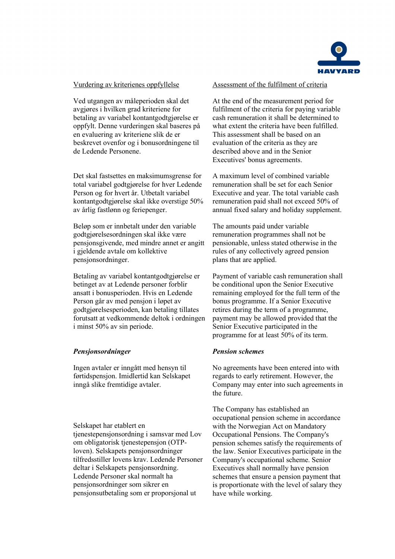

## Vurdering av kriterienes oppfyllelse

Ved utgangen av måleperioden skal det avgjøres i hvilken grad kriteriene for betaling av variabel kontantgodtgjørelse er oppfylt. Denne vurderingen skal baseres på en evaluering av kriteriene slik de er beskrevet ovenfor og i bonusordningene til de Ledende Personene.

Det skal fastsettes en maksimumsgrense for total variabel godtgjørelse for hver Ledende Person og for hvert år. Utbetalt variabel kontantgodtgjørelse skal ikke overstige 50% av årlig fastlønn og feriepenger.

Beløp som er innbetalt under den variable godtgjørelsesordningen skal ikke være pensjonsgivende, med mindre annet er angitt i gjeldende avtale om kollektive pensjonsordninger.

Betaling av variabel kontantgodtgjørelse er betinget av at Ledende personer forblir ansatt i bonusperioden. Hvis en Ledende Person går av med pensjon i løpet av godtgjørelsesperioden, kan betaling tillates forutsatt at vedkommende deltok i ordningen i minst 50% av sin periode.

## *Pensjonsordninger*

Ingen avtaler er inngått med hensyn til førtidspensjon. Imidlertid kan Selskapet inngå slike fremtidige avtaler.

Selskapet har etablert en tjenestepensjonsordning i samsvar med Lov om obligatorisk tjenestepensjon (OTPloven). Selskapets pensjonsordninger tilfredsstiller lovens krav. Ledende Personer deltar i Selskapets pensjonsordning. Ledende Personer skal normalt ha pensjonsordninger som sikrer en pensjonsutbetaling som er proporsjonal ut

#### Assessment of the fulfilment of criteria

At the end of the measurement period for fulfilment of the criteria for paying variable cash remuneration it shall be determined to what extent the criteria have been fulfilled. This assessment shall be based on an evaluation of the criteria as they are described above and in the Senior Executives' bonus agreements.

A maximum level of combined variable remuneration shall be set for each Senior Executive and year. The total variable cash remuneration paid shall not exceed 50% of annual fixed salary and holiday supplement.

The amounts paid under variable remuneration programmes shall not be pensionable, unless stated otherwise in the rules of any collectively agreed pension plans that are applied.

Payment of variable cash remuneration shall be conditional upon the Senior Executive remaining employed for the full term of the bonus programme. If a Senior Executive retires during the term of a programme, payment may be allowed provided that the Senior Executive participated in the programme for at least 50% of its term.

## *Pension schemes*

No agreements have been entered into with regards to early retirement. However, the Company may enter into such agreements in the future.

The Company has established an occupational pension scheme in accordance with the Norwegian Act on Mandatory Occupational Pensions. The Company's pension schemes satisfy the requirements of the law. Senior Executives participate in the Company's occupational scheme. Senior Executives shall normally have pension schemes that ensure a pension payment that is proportionate with the level of salary they have while working.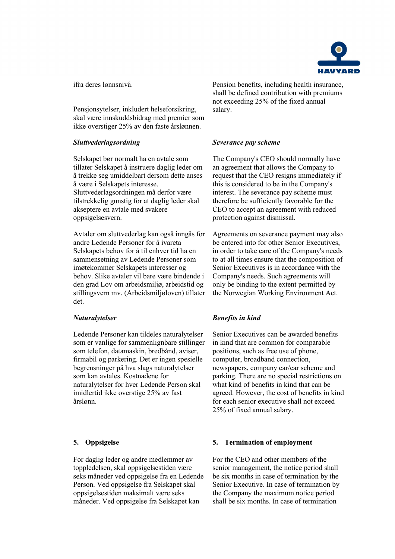

ifra deres lønnsnivå.

Pensjonsytelser, inkludert helseforsikring, skal være innskuddsbidrag med premier som ikke overstiger 25% av den faste årslønnen.

## *Sluttvederlagsordning*

Selskapet bør normalt ha en avtale som tillater Selskapet å instruere daglig leder om å trekke seg umiddelbart dersom dette anses å være i Selskapets interesse. Sluttvederlagsordningen må derfor være tilstrekkelig gunstig for at daglig leder skal akseptere en avtale med svakere oppsigelsesvern.

Avtaler om sluttvederlag kan også inngås for andre Ledende Personer for å ivareta Selskapets behov for å til enhver tid ha en sammensetning av Ledende Personer som imøtekommer Selskapets interesser og behov. Slike avtaler vil bare være bindende i den grad Lov om arbeidsmiljø, arbeidstid og stillingsvern mv. (Arbeidsmiljøloven) tillater det.

## *Naturalytelser*

Ledende Personer kan tildeles naturalytelser som er vanlige for sammenlignbare stillinger som telefon, datamaskin, bredbånd, aviser, firmabil og parkering. Det er ingen spesielle begrensninger på hva slags naturalytelser som kan avtales. Kostnadene for naturalytelser for hver Ledende Person skal imidlertid ikke overstige 25% av fast årslønn.

For daglig leder og andre medlemmer av toppledelsen, skal oppsigelsestiden være seks måneder ved oppsigelse fra en Ledende Person. Ved oppsigelse fra Selskapet skal oppsigelsestiden maksimalt være seks måneder. Ved oppsigelse fra Selskapet kan

Pension benefits, including health insurance, shall be defined contribution with premiums not exceeding 25% of the fixed annual salary.

## *Severance pay scheme*

The Company's CEO should normally have an agreement that allows the Company to request that the CEO resigns immediately if this is considered to be in the Company's interest. The severance pay scheme must therefore be sufficiently favorable for the CEO to accept an agreement with reduced protection against dismissal.

Agreements on severance payment may also be entered into for other Senior Executives, in order to take care of the Company's needs to at all times ensure that the composition of Senior Executives is in accordance with the Company's needs. Such agreements will only be binding to the extent permitted by the Norwegian Working Environment Act.

## *Benefits in kind*

Senior Executives can be awarded benefits in kind that are common for comparable positions, such as free use of phone, computer, broadband connection, newspapers, company car/car scheme and parking. There are no special restrictions on what kind of benefits in kind that can be agreed. However, the cost of benefits in kind for each senior executive shall not exceed 25% of fixed annual salary.

## **5. Oppsigelse 5. Termination of employment**

For the CEO and other members of the senior management, the notice period shall be six months in case of termination by the Senior Executive. In case of termination by the Company the maximum notice period shall be six months. In case of termination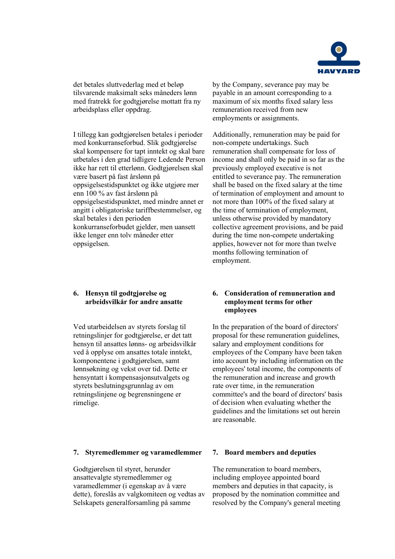

det betales sluttvederlag med et beløp tilsvarende maksimalt seks måneders lønn med fratrekk for godtgjørelse mottatt fra ny arbeidsplass eller oppdrag.

I tillegg kan godtgjørelsen betales i perioder med konkurranseforbud. Slik godtgjørelse skal kompensere for tapt inntekt og skal bare utbetales i den grad tidligere Ledende Person ikke har rett til etterlønn. Godtgjørelsen skal være basert på fast årslønn på oppsigelsestidspunktet og ikke utgjøre mer enn 100 % av fast årslønn på oppsigelsestidspunktet, med mindre annet er angitt i obligatoriske tariffbestemmelser, og skal betales i den perioden konkurranseforbudet gjelder, men uansett ikke lenger enn tolv måneder etter oppsigelsen.

## **6. Hensyn til godtgjørelse og arbeidsvilkår for andre ansatte**

Ved utarbeidelsen av styrets forslag til retningslinjer for godtgjørelse, er det tatt hensyn til ansattes lønns- og arbeidsvilkår ved å opplyse om ansattes totale inntekt, komponentene i godtgjørelsen, samt lønnsøkning og vekst over tid. Dette er hensyntatt i kompensasjonsutvalgets og styrets beslutningsgrunnlag av om retningslinjene og begrensningene er rimelige.

## **7. Styremedlemmer og varamedlemmer 7. Board members and deputies**

Godtgjørelsen til styret, herunder ansattevalgte styremedlemmer og varamedlemmer (i egenskap av å være dette), foreslås av valgkomiteen og vedtas av Selskapets generalforsamling på samme

by the Company, severance pay may be payable in an amount corresponding to a maximum of six months fixed salary less remuneration received from new employments or assignments.

Additionally, remuneration may be paid for non-compete undertakings. Such remuneration shall compensate for loss of income and shall only be paid in so far as the previously employed executive is not entitled to severance pay. The remuneration shall be based on the fixed salary at the time of termination of employment and amount to not more than 100% of the fixed salary at the time of termination of employment, unless otherwise provided by mandatory collective agreement provisions, and be paid during the time non-compete undertaking applies, however not for more than twelve months following termination of employment.

#### **6. Consideration of remuneration and employment terms for other employees**

In the preparation of the board of directors' proposal for these remuneration guidelines, salary and employment conditions for employees of the Company have been taken into account by including information on the employees' total income, the components of the remuneration and increase and growth rate over time, in the remuneration committee's and the board of directors' basis of decision when evaluating whether the guidelines and the limitations set out herein are reasonable.

The remuneration to board members, including employee appointed board members and deputies in that capacity, is proposed by the nomination committee and resolved by the Company's general meeting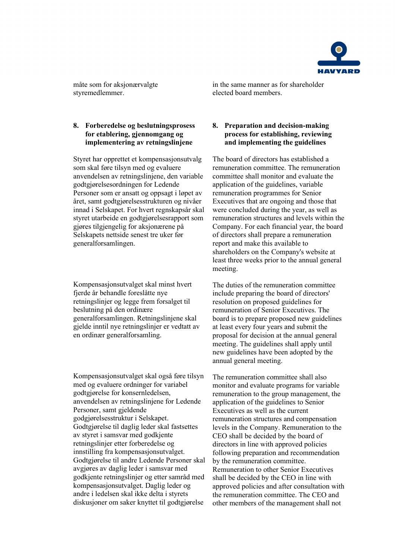

måte som for aksjonærvalgte styremedlemmer.

## **8. Forberedelse og beslutningsprosess for etablering, gjennomgang og implementering av retningslinjene**

Styret har opprettet et kompensasjonsutvalg som skal føre tilsyn med og evaluere anvendelsen av retningslinjene, den variable godtgjørelsesordningen for Ledende Personer som er ansatt og oppsagt i løpet av året, samt godtgjørelsesstrukturen og nivåer innad i Selskapet. For hvert regnskapsår skal styret utarbeide en godtgjørelsesrapport som gjøres tilgjengelig for aksjonærene på Selskapets nettside senest tre uker før generalforsamlingen.

Kompensasjonsutvalget skal minst hvert fjerde år behandle foreslåtte nye retningslinjer og legge frem forsalget til beslutning på den ordinære generalforsamlingen. Retningslinjene skal gjelde inntil nye retningslinjer er vedtatt av en ordinær generalforsamling.

Kompensasjonsutvalget skal også føre tilsyn med og evaluere ordninger for variabel godtgjørelse for konsernledelsen, anvendelsen av retningslinjene for Ledende Personer, samt gjeldende godgjørelsesstruktur i Selskapet. Godtgjørelse til daglig leder skal fastsettes av styret i samsvar med godkjente retningslinjer etter forberedelse og innstilling fra kompensasjonsutvalget. Godtgjørelse til andre Ledende Personer skal avgjøres av daglig leder i samsvar med godkjente retningslinjer og etter samråd med kompensasjonsutvalget. Daglig leder og andre i ledelsen skal ikke delta i styrets diskusjoner om saker knyttet til godtgjørelse

in the same manner as for shareholder elected board members.

## **8. Preparation and decision-making process for establishing, reviewing and implementing the guidelines**

The board of directors has established a remuneration committee. The remuneration committee shall monitor and evaluate the application of the guidelines, variable remuneration programmes for Senior Executives that are ongoing and those that were concluded during the year, as well as remuneration structures and levels within the Company. For each financial year, the board of directors shall prepare a remuneration report and make this available to shareholders on the Company's website at least three weeks prior to the annual general meeting.

The duties of the remuneration committee include preparing the board of directors' resolution on proposed guidelines for remuneration of Senior Executives. The board is to prepare proposed new guidelines at least every four years and submit the proposal for decision at the annual general meeting. The guidelines shall apply until new guidelines have been adopted by the annual general meeting.

The remuneration committee shall also monitor and evaluate programs for variable remuneration to the group management, the application of the guidelines to Senior Executives as well as the current remuneration structures and compensation levels in the Company. Remuneration to the CEO shall be decided by the board of directors in line with approved policies following preparation and recommendation by the remuneration committee. Remuneration to other Senior Executives shall be decided by the CEO in line with approved policies and after consultation with the remuneration committee. The CEO and other members of the management shall not